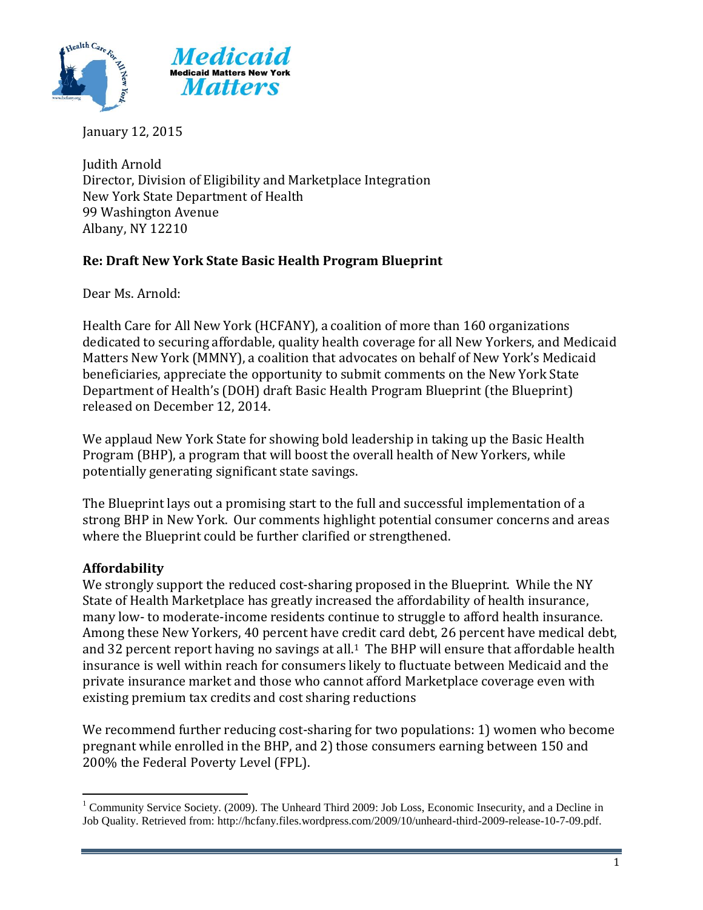

January 12, 2015

Judith Arnold Director, Division of Eligibility and Marketplace Integration New York State Department of Health 99 Washington Avenue Albany, NY 12210

# **Re: Draft New York State Basic Health Program Blueprint**

Dear Ms. Arnold:

Health Care for All New York (HCFANY), a coalition of more than 160 organizations dedicated to securing affordable, quality health coverage for all New Yorkers, and Medicaid Matters New York (MMNY), a coalition that advocates on behalf of New York's Medicaid beneficiaries, appreciate the opportunity to submit comments on the New York State Department of Health's (DOH) draft Basic Health Program Blueprint (the Blueprint) released on December 12, 2014.

We applaud New York State for showing bold leadership in taking up the Basic Health Program (BHP), a program that will boost the overall health of New Yorkers, while potentially generating significant state savings.

The Blueprint lays out a promising start to the full and successful implementation of a strong BHP in New York. Our comments highlight potential consumer concerns and areas where the Blueprint could be further clarified or strengthened.

# **Affordability**

We strongly support the reduced cost-sharing proposed in the Blueprint. While the NY State of Health Marketplace has greatly increased the affordability of health insurance, many low- to moderate-income residents continue to struggle to afford health insurance. Among these New Yorkers, 40 percent have credit card debt, 26 percent have medical debt, and 32 percent report having no savings at all.<sup>1</sup> The BHP will ensure that affordable health insurance is well within reach for consumers likely to fluctuate between Medicaid and the private insurance market and those who cannot afford Marketplace coverage even with existing premium tax credits and cost sharing reductions

We recommend further reducing cost-sharing for two populations: 1) women who become pregnant while enrolled in the BHP, and 2) those consumers earning between 150 and 200% the Federal Poverty Level (FPL).

 $\overline{a}$ <sup>1</sup> Community Service Society. (2009). The Unheard Third 2009: Job Loss, Economic Insecurity, and a Decline in Job Quality. Retrieved from: http://hcfany.files.wordpress.com/2009/10/unheard-third-2009-release-10-7-09.pdf.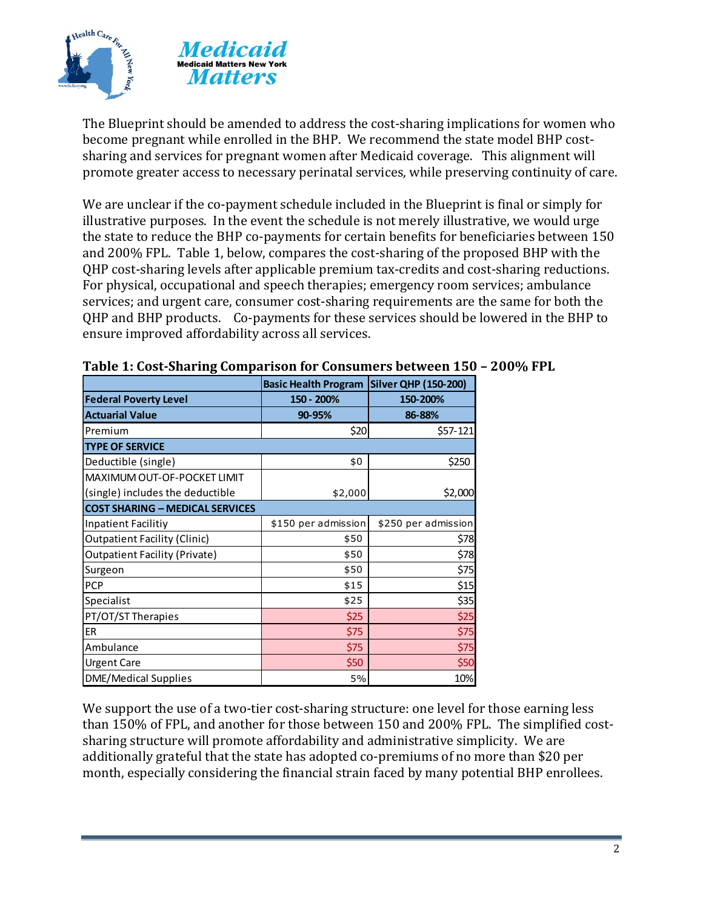

The Blueprint should be amended to address the cost-sharing implications for women who become pregnant while enrolled in the BHP. We recommend the state model BHP costsharing and services for pregnant women after Medicaid coverage. This alignment will promote greater access to necessary perinatal services, while preserving continuity of care.

We are unclear if the co-payment schedule included in the Blueprint is final or simply for illustrative purposes. In the event the schedule is not merely illustrative, we would urge the state to reduce the BHP co-payments for certain benefits for beneficiaries between 150 and 200% FPL. Table 1, below, compares the cost-sharing of the proposed BHP with the QHP cost-sharing levels after applicable premium tax-credits and cost-sharing reductions. For physical, occupational and speech therapies; emergency room services; ambulance services; and urgent care, consumer cost-sharing requirements are the same for both the QHP and BHP products. Co-payments for these services should be lowered in the BHP to ensure improved affordability across all services.

|                                        | Basic Health Program Silver QHP (150-200) |                     |
|----------------------------------------|-------------------------------------------|---------------------|
| <b>Federal Poverty Level</b>           | 150 - 200%                                | 150-200%            |
| <b>Actuarial Value</b>                 | 90-95%                                    | 86-88%              |
| Premium                                | \$20                                      | \$57-121            |
| <b>TYPE OF SERVICE</b>                 |                                           |                     |
| Deductible (single)                    | \$0                                       | \$250               |
| MAXIMUM OUT-OF-POCKET LIMIT            |                                           |                     |
| (single) includes the deductible       | \$2,000                                   | \$2,000             |
| <b>COST SHARING - MEDICAL SERVICES</b> |                                           |                     |
| Inpatient Facilitiy                    | \$150 per admission                       | \$250 per admission |
| <b>Outpatient Facility (Clinic)</b>    | \$50                                      | \$78                |
| <b>Outpatient Facility (Private)</b>   | \$50                                      | \$78                |
| Surgeon                                | \$50                                      | \$75                |
| <b>PCP</b>                             | \$15                                      | \$15                |
| Specialist                             | \$25                                      | \$35                |
| PT/OT/ST Therapies                     | \$25                                      | \$25                |
| <b>ER</b>                              | \$75                                      | \$75                |
| Ambulance                              | \$75                                      | \$75                |
| <b>Urgent Care</b>                     | \$50                                      | \$50                |
| <b>DME/Medical Supplies</b>            | 5%                                        | 10%                 |

#### **Table 1: Cost-Sharing Comparison for Consumers between 150 – 200% FPL**

We support the use of a two-tier cost-sharing structure: one level for those earning less than 150% of FPL, and another for those between 150 and 200% FPL. The simplified costsharing structure will promote affordability and administrative simplicity. We are additionally grateful that the state has adopted co-premiums of no more than \$20 per month, especially considering the financial strain faced by many potential BHP enrollees.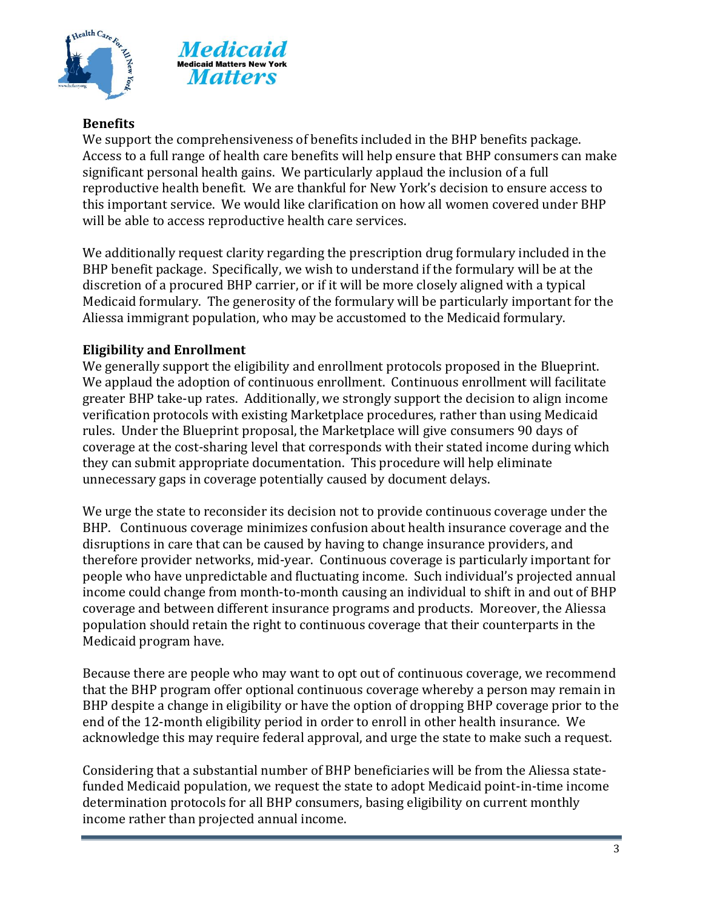



## **Benefits**

We support the comprehensiveness of benefits included in the BHP benefits package. Access to a full range of health care benefits will help ensure that BHP consumers can make significant personal health gains. We particularly applaud the inclusion of a full reproductive health benefit. We are thankful for New York's decision to ensure access to this important service. We would like clarification on how all women covered under BHP will be able to access reproductive health care services.

We additionally request clarity regarding the prescription drug formulary included in the BHP benefit package. Specifically, we wish to understand if the formulary will be at the discretion of a procured BHP carrier, or if it will be more closely aligned with a typical Medicaid formulary. The generosity of the formulary will be particularly important for the Aliessa immigrant population, who may be accustomed to the Medicaid formulary.

### **Eligibility and Enrollment**

We generally support the eligibility and enrollment protocols proposed in the Blueprint. We applaud the adoption of continuous enrollment. Continuous enrollment will facilitate greater BHP take-up rates. Additionally, we strongly support the decision to align income verification protocols with existing Marketplace procedures, rather than using Medicaid rules. Under the Blueprint proposal, the Marketplace will give consumers 90 days of coverage at the cost-sharing level that corresponds with their stated income during which they can submit appropriate documentation. This procedure will help eliminate unnecessary gaps in coverage potentially caused by document delays.

We urge the state to reconsider its decision not to provide continuous coverage under the BHP. Continuous coverage minimizes confusion about health insurance coverage and the disruptions in care that can be caused by having to change insurance providers, and therefore provider networks, mid-year. Continuous coverage is particularly important for people who have unpredictable and fluctuating income. Such individual's projected annual income could change from month-to-month causing an individual to shift in and out of BHP coverage and between different insurance programs and products. Moreover, the Aliessa population should retain the right to continuous coverage that their counterparts in the Medicaid program have.

Because there are people who may want to opt out of continuous coverage, we recommend that the BHP program offer optional continuous coverage whereby a person may remain in BHP despite a change in eligibility or have the option of dropping BHP coverage prior to the end of the 12-month eligibility period in order to enroll in other health insurance. We acknowledge this may require federal approval, and urge the state to make such a request.

Considering that a substantial number of BHP beneficiaries will be from the Aliessa statefunded Medicaid population, we request the state to adopt Medicaid point-in-time income determination protocols for all BHP consumers, basing eligibility on current monthly income rather than projected annual income.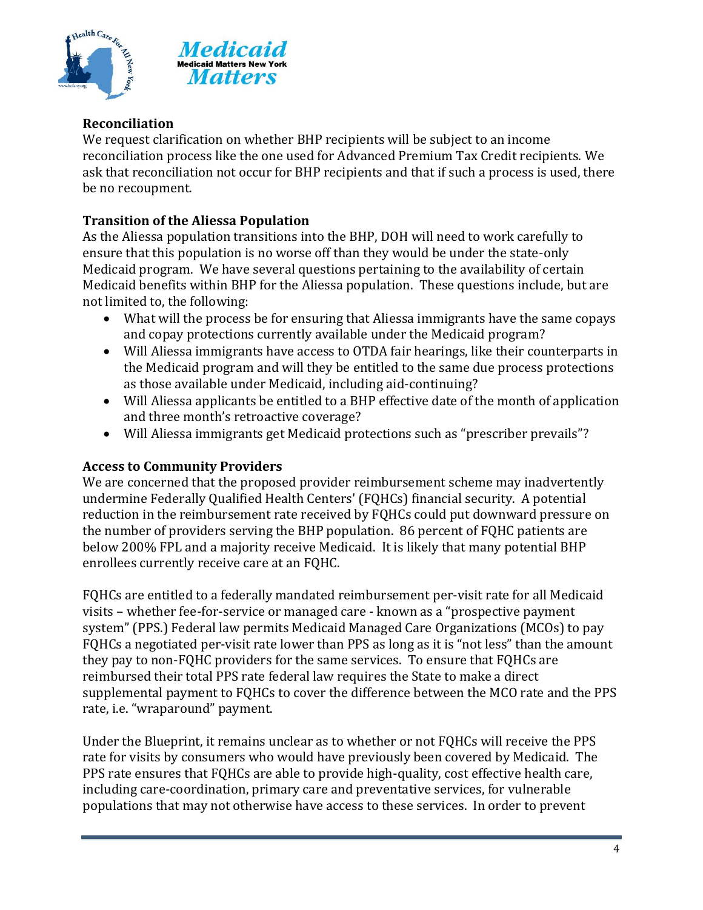



# **Reconciliation**

We request clarification on whether BHP recipients will be subject to an income reconciliation process like the one used for Advanced Premium Tax Credit recipients. We ask that reconciliation not occur for BHP recipients and that if such a process is used, there be no recoupment.

## **Transition of the Aliessa Population**

As the Aliessa population transitions into the BHP, DOH will need to work carefully to ensure that this population is no worse off than they would be under the state-only Medicaid program. We have several questions pertaining to the availability of certain Medicaid benefits within BHP for the Aliessa population. These questions include, but are not limited to, the following:

- What will the process be for ensuring that Aliessa immigrants have the same copays and copay protections currently available under the Medicaid program?
- Will Aliessa immigrants have access to OTDA fair hearings, like their counterparts in the Medicaid program and will they be entitled to the same due process protections as those available under Medicaid, including aid-continuing?
- Will Aliessa applicants be entitled to a BHP effective date of the month of application and three month's retroactive coverage?
- Will Aliessa immigrants get Medicaid protections such as "prescriber prevails"?

### **Access to Community Providers**

We are concerned that the proposed provider reimbursement scheme may inadvertently undermine Federally Qualified Health Centers' (FQHCs) financial security. A potential reduction in the reimbursement rate received by FQHCs could put downward pressure on the number of providers serving the BHP population. 86 percent of FQHC patients are below 200% FPL and a majority receive Medicaid. It is likely that many potential BHP enrollees currently receive care at an FQHC.

FQHCs are entitled to a federally mandated reimbursement per-visit rate for all Medicaid visits – whether fee-for-service or managed care - known as a "prospective payment system" (PPS.) Federal law permits Medicaid Managed Care Organizations (MCOs) to pay FQHCs a negotiated per-visit rate lower than PPS as long as it is "not less" than the amount they pay to non-FQHC providers for the same services. To ensure that FQHCs are reimbursed their total PPS rate federal law requires the State to make a direct supplemental payment to FQHCs to cover the difference between the MCO rate and the PPS rate, i.e. "wraparound" payment.

Under the Blueprint, it remains unclear as to whether or not FQHCs will receive the PPS rate for visits by consumers who would have previously been covered by Medicaid. The PPS rate ensures that FQHCs are able to provide high-quality, cost effective health care, including care-coordination, primary care and preventative services, for vulnerable populations that may not otherwise have access to these services. In order to prevent